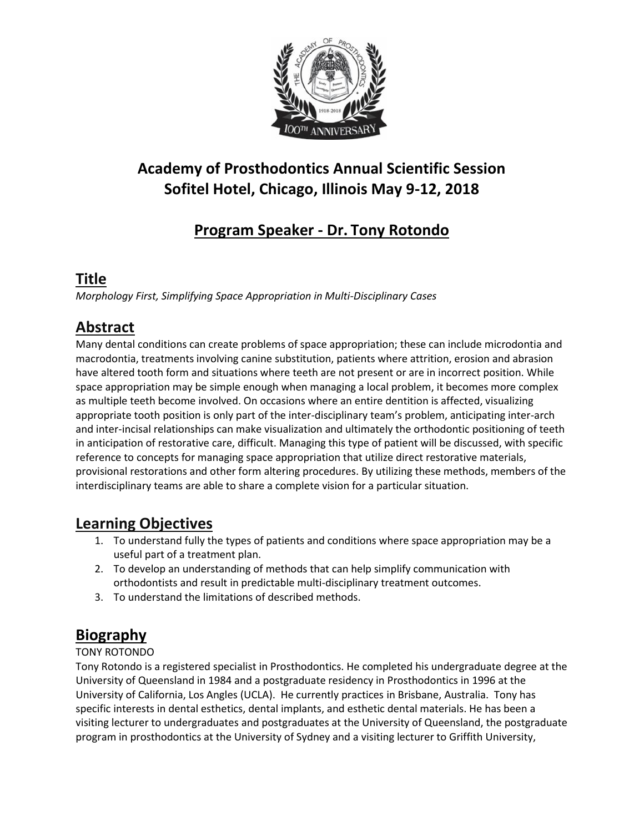

# **Academy of Prosthodontics Annual Scientific Session Sofitel Hotel, Chicago, Illinois May 9-12, 2018**

# **Program Speaker - Dr. Tony Rotondo**

### **Title**

*Morphology First, Simplifying Space Appropriation in Multi-Disciplinary Cases*

## **Abstract**

Many dental conditions can create problems of space appropriation; these can include microdontia and macrodontia, treatments involving canine substitution, patients where attrition, erosion and abrasion have altered tooth form and situations where teeth are not present or are in incorrect position. While space appropriation may be simple enough when managing a local problem, it becomes more complex as multiple teeth become involved. On occasions where an entire dentition is affected, visualizing appropriate tooth position is only part of the inter-disciplinary team's problem, anticipating inter-arch and inter-incisal relationships can make visualization and ultimately the orthodontic positioning of teeth in anticipation of restorative care, difficult. Managing this type of patient will be discussed, with specific reference to concepts for managing space appropriation that utilize direct restorative materials, provisional restorations and other form altering procedures. By utilizing these methods, members of the interdisciplinary teams are able to share a complete vision for a particular situation.

### **Learning Objectives**

- 1. To understand fully the types of patients and conditions where space appropriation may be a useful part of a treatment plan.
- 2. To develop an understanding of methods that can help simplify communication with orthodontists and result in predictable multi-disciplinary treatment outcomes.
- 3. To understand the limitations of described methods.

## **Biography**

#### TONY ROTONDO

Tony Rotondo is a registered specialist in Prosthodontics. He completed his undergraduate degree at the University of Queensland in 1984 and a postgraduate residency in Prosthodontics in 1996 at the University of California, Los Angles (UCLA). He currently practices in Brisbane, Australia. Tony has specific interests in dental esthetics, dental implants, and esthetic dental materials. He has been a visiting lecturer to undergraduates and postgraduates at the University of Queensland, the postgraduate program in prosthodontics at the University of Sydney and a visiting lecturer to Griffith University,